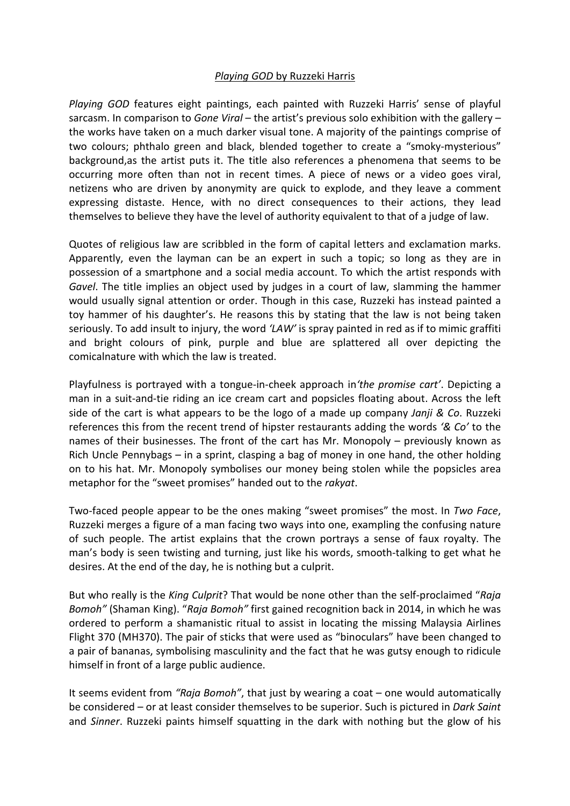## *Playing GOD* by Ruzzeki Harris

*Playing GOD* features eight paintings, each painted with Ruzzeki Harris' sense of playful sarcasm. In comparison to *Gone Viral* – the artist's previous solo exhibition with the gallery – the works have taken on a much darker visual tone. A majority of the paintings comprise of two colours; phthalo green and black, blended together to create a "smoky-mysterious" background,as the artist puts it. The title also references a phenomena that seems to be occurring more often than not in recent times. A piece of news or a video goes viral, netizens who are driven by anonymity are quick to explode, and they leave a comment expressing distaste. Hence, with no direct consequences to their actions, they lead themselves to believe they have the level of authority equivalent to that of a judge of law.

Quotes of religious law are scribbled in the form of capital letters and exclamation marks. Apparently, even the layman can be an expert in such a topic; so long as they are in possession of a smartphone and a social media account. To which the artist responds with *Gavel*. The title implies an object used by judges in a court of law, slamming the hammer would usually signal attention or order. Though in this case, Ruzzeki has instead painted a toy hammer of his daughter's. He reasons this by stating that the law is not being taken seriously. To add insult to injury, the word *'LAW'* is spray painted in red as if to mimic graffiti and bright colours of pink, purple and blue are splattered all over depicting the comicalnature with which the law is treated.

Playfulness is portrayed with a tongue-in-cheek approach in*'the promise cart'*. Depicting a man in a suit-and-tie riding an ice cream cart and popsicles floating about. Across the left side of the cart is what appears to be the logo of a made up company *Janji & Co*. Ruzzeki references this from the recent trend of hipster restaurants adding the words *'& Co'* to the names of their businesses. The front of the cart has Mr. Monopoly – previously known as Rich Uncle Pennybags – in a sprint, clasping a bag of money in one hand, the other holding on to his hat. Mr. Monopoly symbolises our money being stolen while the popsicles area metaphor for the "sweet promises" handed out to the *rakyat*.

Two-faced people appear to be the ones making "sweet promises" the most. In *Two Face*, Ruzzeki merges a figure of a man facing two ways into one, exampling the confusing nature of such people. The artist explains that the crown portrays a sense of faux royalty. The man's body is seen twisting and turning, just like his words, smooth-talking to get what he desires. At the end of the day, he is nothing but a culprit.

But who really is the *King Culprit*? That would be none other than the self-proclaimed "*Raja Bomoh"* (Shaman King). "*Raja Bomoh"* first gained recognition back in 2014, in which he was ordered to perform a shamanistic ritual to assist in locating the missing Malaysia Airlines Flight 370 (MH370). The pair of sticks that were used as "binoculars" have been changed to a pair of bananas, symbolising masculinity and the fact that he was gutsy enough to ridicule himself in front of a large public audience.

It seems evident from *"Raja Bomoh"*, that just by wearing a coat – one would automatically be considered – or at least consider themselves to be superior. Such is pictured in *Dark Saint* and *Sinner*. Ruzzeki paints himself squatting in the dark with nothing but the glow of his